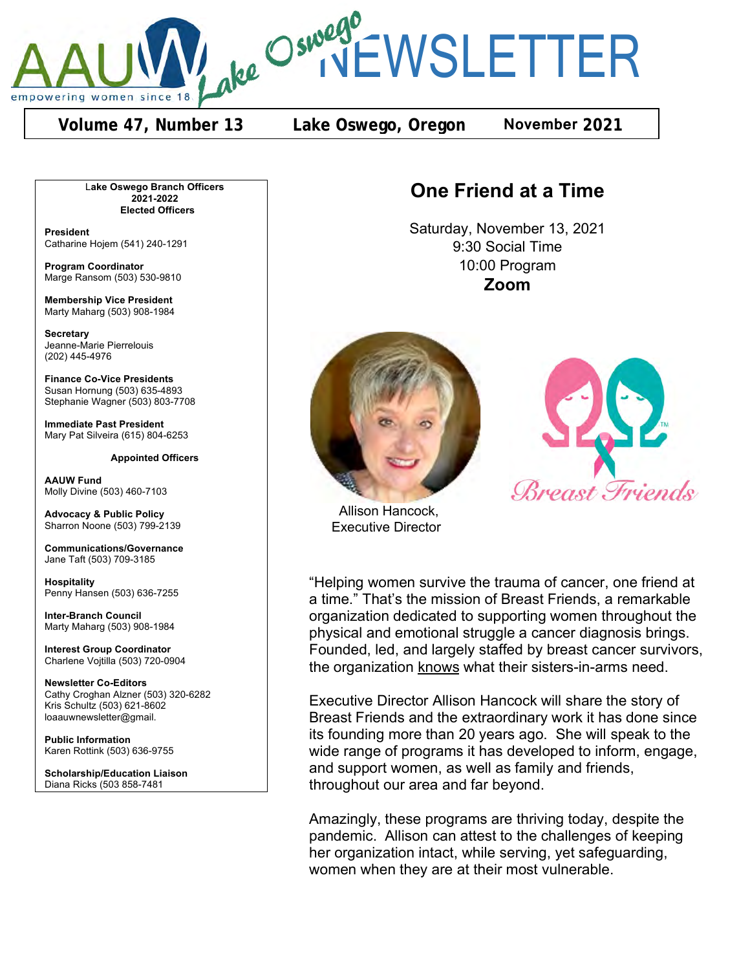

**Volume 47, Number 13 Lake Oswego, Oregon November 2021**

L**ake Oswego Branch Officers 2021-2022 Elected Officers**

**President** Catharine Hojem (541) 240-1291

**Program Coordinator** Marge Ransom (503) 530-9810

**Membership Vice President** Marty Maharg (503) 908-1984

**Secretary** Jeanne-Marie Pierrelouis (202) 445-4976

**Finance Co-Vice Presidents** Susan Hornung (503) 635-4893 Stephanie Wagner (503) 803-7708

**Immediate Past President** Mary Pat Silveira (615) 804-6253

#### **Appointed Officers**

**AAUW Fund** Molly Divine (503) 460-7103

**Advocacy & Public Policy** Sharron Noone (503) 799-2139

**Communications/Governance** Jane Taft (503) 709-3185

**Hospitality** Penny Hansen (503) 636-7255

**Inter-Branch Council** Marty Maharg (503) 908-1984

**Interest Group Coordinator** Charlene Vojtilla (503) 720-0904

**Newsletter Co-Editors** Cathy Croghan Alzner (503) 320-6282 Kris Schultz (503) 621-8602 loaauwnewsletter@gmail.

**Public Information** Karen Rottink (503) 636-9755

**Scholarship/Education Liaison** Diana Ricks (503 858-7481

# **One Friend at a Time**

Saturday, November 13, 2021 9:30 Social Time 10:00 Program **Zoom**





 Allison Hancock, Executive Director

"Helping women survive the trauma of cancer, one friend at a time." That's the mission of Breast Friends, a remarkable organization dedicated to supporting women throughout the physical and emotional struggle a cancer diagnosis brings. Founded, led, and largely staffed by breast cancer survivors, the organization knows what their sisters-in-arms need.

Executive Director Allison Hancock will share the story of Breast Friends and the extraordinary work it has done since its founding more than 20 years ago. She will speak to the wide range of programs it has developed to inform, engage, and support women, as well as family and friends, throughout our area and far beyond.

Amazingly, these programs are thriving today, despite the pandemic. Allison can attest to the challenges of keeping her organization intact, while serving, yet safeguarding, women when they are at their most vulnerable.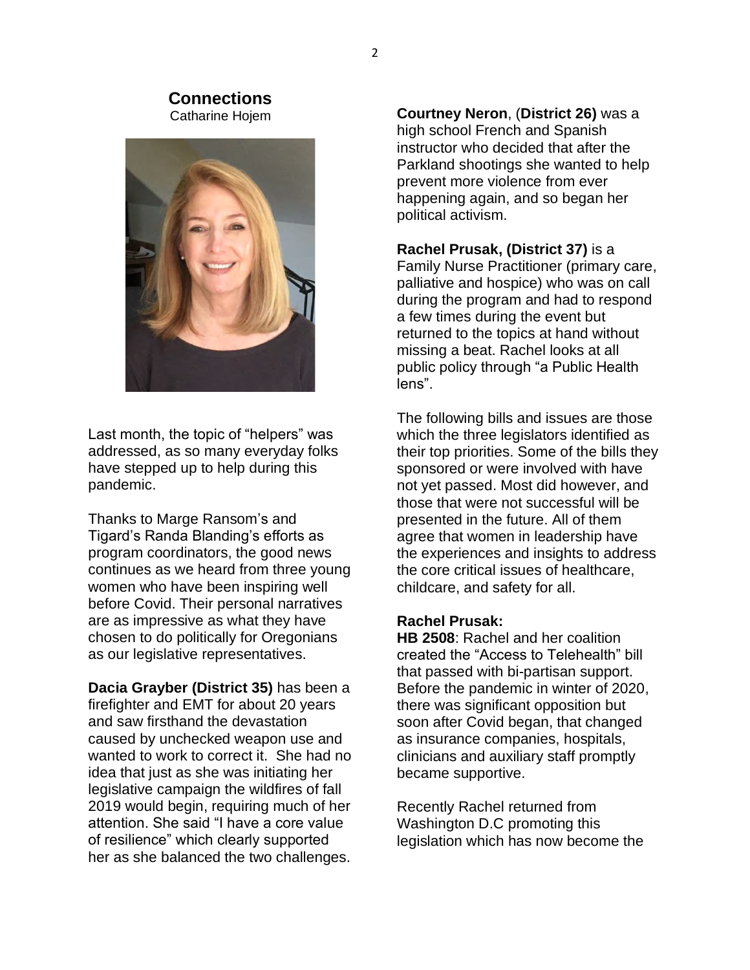#### **Connections** Catharine Hojem



Last month, the topic of "helpers" was addressed, as so many everyday folks have stepped up to help during this pandemic.

Thanks to Marge Ransom's and Tigard's Randa Blanding's efforts as program coordinators, the good news continues as we heard from three young women who have been inspiring well before Covid. Their personal narratives are as impressive as what they have chosen to do politically for Oregonians as our legislative representatives.

**Dacia Grayber (District 35)** has been a firefighter and EMT for about 20 years and saw firsthand the devastation caused by unchecked weapon use and wanted to work to correct it. She had no idea that just as she was initiating her legislative campaign the wildfires of fall 2019 would begin, requiring much of her attention. She said "I have a core value of resilience" which clearly supported her as she balanced the two challenges.

**Courtney Neron**, (**District 26)** was a high school French and Spanish instructor who decided that after the Parkland shootings she wanted to help prevent more violence from ever happening again, and so began her political activism.

**Rachel Prusak, (District 37)** is a Family Nurse Practitioner (primary care, palliative and hospice) who was on call during the program and had to respond a few times during the event but returned to the topics at hand without missing a beat. Rachel looks at all public policy through "a Public Health lens".

The following bills and issues are those which the three legislators identified as their top priorities. Some of the bills they sponsored or were involved with have not yet passed. Most did however, and those that were not successful will be presented in the future. All of them agree that women in leadership have the experiences and insights to address the core critical issues of healthcare, childcare, and safety for all.

#### **Rachel Prusak:**

**HB 2508**: Rachel and her coalition created the "Access to Telehealth" bill that passed with bi-partisan support. Before the pandemic in winter of 2020, there was significant opposition but soon after Covid began, that changed as insurance companies, hospitals, clinicians and auxiliary staff promptly became supportive.

Recently Rachel returned from Washington D.C promoting this legislation which has now become the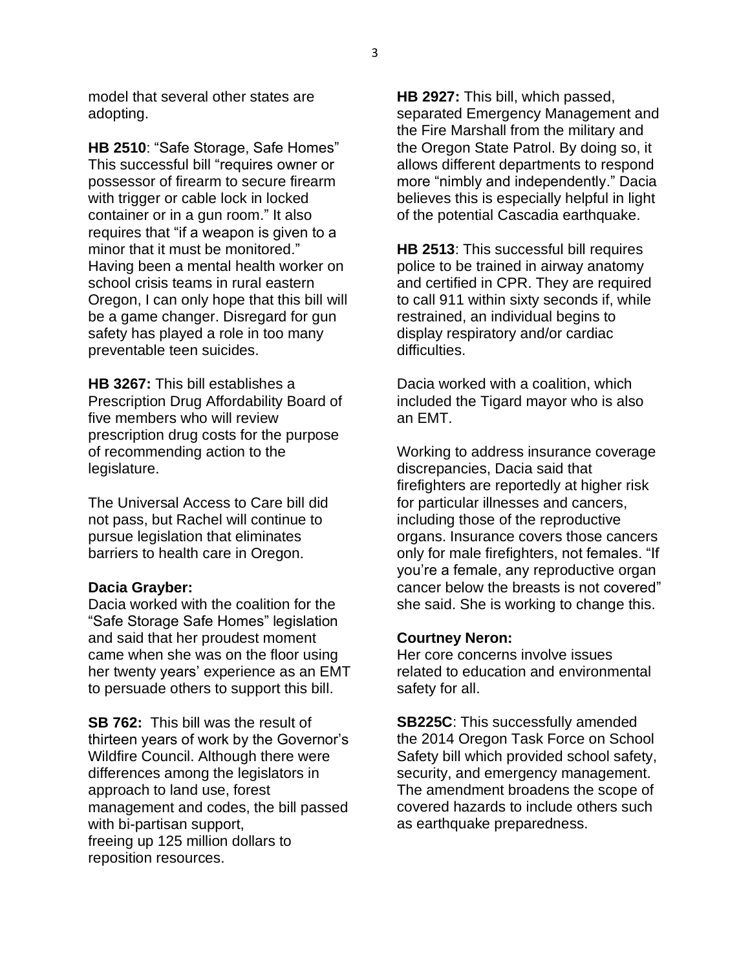model that several other states are adopting.

**HB 2510**: "Safe Storage, Safe Homes" This successful bill "requires owner or possessor of firearm to secure firearm with trigger or cable lock in locked container or in a gun room." It also requires that "if a weapon is given to a minor that it must be monitored." Having been a mental health worker on school crisis teams in rural eastern Oregon, I can only hope that this bill will be a game changer. Disregard for gun safety has played a role in too many preventable teen suicides.

**HB 3267:** This bill establishes a Prescription Drug Affordability Board of five members who will review prescription drug costs for the purpose of recommending action to the legislature.

The Universal Access to Care bill did not pass, but Rachel will continue to pursue legislation that eliminates barriers to health care in Oregon.

#### **Dacia Grayber:**

Dacia worked with the coalition for the "Safe Storage Safe Homes" legislation and said that her proudest moment came when she was on the floor using her twenty years' experience as an EMT to persuade others to support this bill.

**SB 762:** This bill was the result of thirteen years of work by the Governor's Wildfire Council. Although there were differences among the legislators in approach to land use, forest management and codes, the bill passed with bi-partisan support, freeing up 125 million dollars to reposition resources.

**HB 2927:** This bill, which passed, separated Emergency Management and the Fire Marshall from the military and the Oregon State Patrol. By doing so, it allows different departments to respond more "nimbly and independently." Dacia believes this is especially helpful in light of the potential Cascadia earthquake.

**HB 2513**: This successful bill requires police to be trained in airway anatomy and certified in CPR. They are required to call 911 within sixty seconds if, while restrained, an individual begins to display respiratory and/or cardiac difficulties.

Dacia worked with a coalition, which included the Tigard mayor who is also an EMT.

Working to address insurance coverage discrepancies, Dacia said that firefighters are reportedly at higher risk for particular illnesses and cancers, including those of the reproductive organs. Insurance covers those cancers only for male firefighters, not females. "If you're a female, any reproductive organ cancer below the breasts is not covered" she said. She is working to change this.

#### **Courtney Neron:**

Her core concerns involve issues related to education and environmental safety for all.

**SB225C**: This successfully amended the 2014 Oregon Task Force on School Safety bill which provided school safety, security, and emergency management. The amendment broadens the scope of covered hazards to include others such as earthquake preparedness.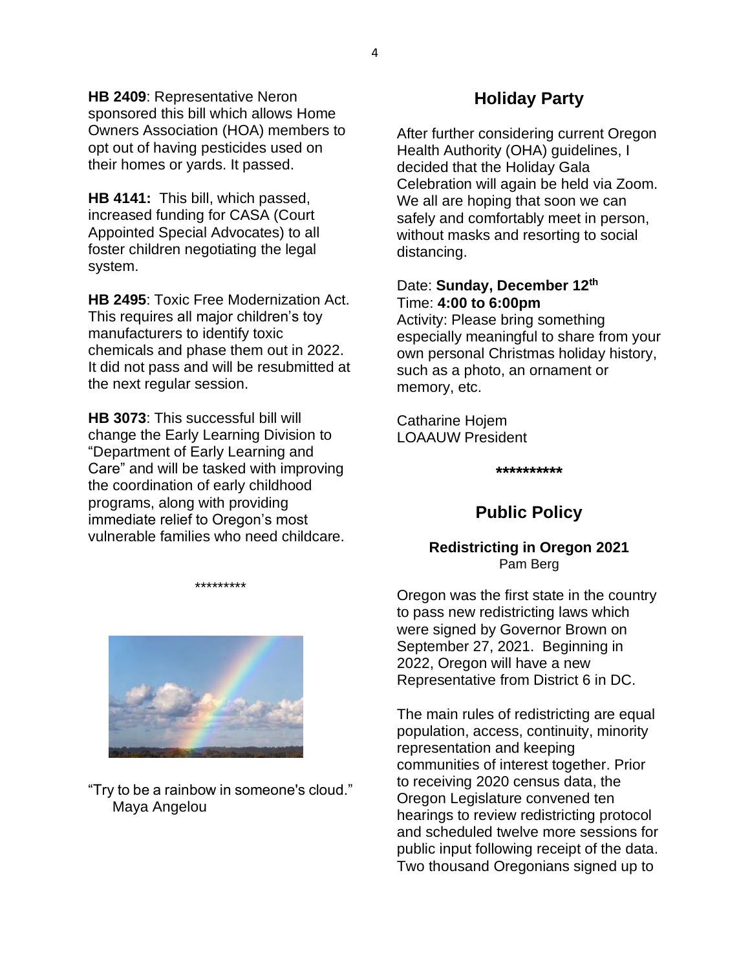**HB 2409**: Representative Neron sponsored this bill which allows Home Owners Association (HOA) members to opt out of having pesticides used on their homes or yards. It passed.

**HB 4141:** This bill, which passed, increased funding for CASA (Court Appointed Special Advocates) to all foster children negotiating the legal system.

**HB 2495**: Toxic Free Modernization Act. This requires all major children's toy manufacturers to identify toxic chemicals and phase them out in 2022. It did not pass and will be resubmitted at the next regular session.

**HB 3073**: This successful bill will change the Early Learning Division to "Department of Early Learning and Care" and will be tasked with improving the coordination of early childhood programs, along with providing immediate relief to Oregon's most vulnerable families who need childcare.

\*\*\*\*\*\*\*\*\*



### "Try to be a rainbow in someone's cloud." Maya Angelou

# **Holiday Party**

After further considering current Oregon Health Authority (OHA) guidelines, I decided that the Holiday Gala Celebration will again be held via Zoom. We all are hoping that soon we can safely and comfortably meet in person, without masks and resorting to social distancing.

### Date: **Sunday, December 12th** Time: **4:00 to 6:00pm**

Activity: Please bring something especially meaningful to share from your own personal Christmas holiday history, such as a photo, an ornament or memory, etc.

Catharine Hojem LOAAUW President

**\*\*\*\*\*\*\*\*\*\***

# **Public Policy**

#### **Redistricting in Oregon 2021** Pam Berg

Oregon was the first state in the country to pass new redistricting laws which were signed by Governor Brown on September 27, 2021. Beginning in 2022, Oregon will have a new Representative from District 6 in DC.

The main rules of redistricting are equal population, access, continuity, minority representation and keeping communities of interest together. Prior to receiving 2020 census data, the Oregon Legislature convened ten hearings to review redistricting protocol and scheduled twelve more sessions for public input following receipt of the data. Two thousand Oregonians signed up to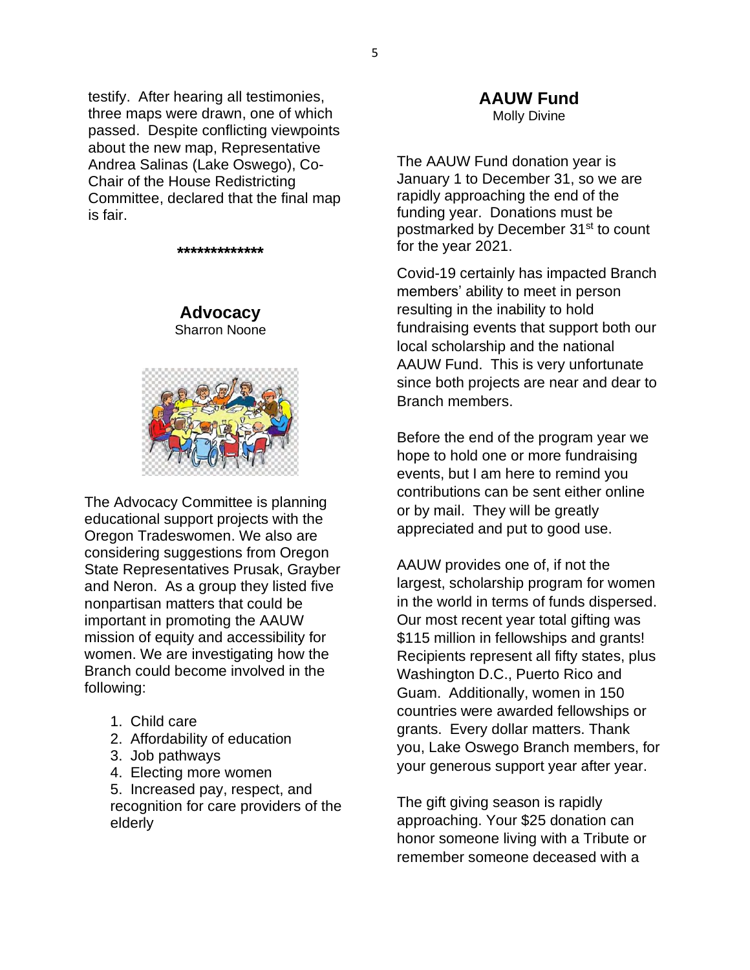testify. After hearing all testimonies, three maps were drawn, one of which passed. Despite conflicting viewpoints about the new map, Representative Andrea Salinas (Lake Oswego), Co-Chair of the House Redistricting Committee, declared that the final map is fair.

**\*\*\*\*\*\*\*\*\*\*\*\*\***

## **Advocacy** Sharron Noone



The Advocacy Committee is planning educational support projects with the Oregon Tradeswomen. We also are considering suggestions from Oregon State Representatives Prusak, Grayber and Neron. As a group they listed five nonpartisan matters that could be important in promoting the AAUW mission of equity and accessibility for women. We are investigating how the Branch could become involved in the following:

- 1. Child care
- 2. Affordability of education
- 3. Job pathways
- 4. Electing more women

5. Increased pay, respect, and recognition for care providers of the elderly

#### **AAUW Fund** Molly Divine

The AAUW Fund donation year is January 1 to December 31, so we are rapidly approaching the end of the funding year. Donations must be postmarked by December 31<sup>st</sup> to count for the year 2021.

Covid-19 certainly has impacted Branch members' ability to meet in person resulting in the inability to hold fundraising events that support both our local scholarship and the national AAUW Fund. This is very unfortunate since both projects are near and dear to Branch members.

Before the end of the program year we hope to hold one or more fundraising events, but I am here to remind you contributions can be sent either online or by mail. They will be greatly appreciated and put to good use.

AAUW provides one of, if not the largest, scholarship program for women in the world in terms of funds dispersed. Our most recent year total gifting was \$115 million in fellowships and grants! Recipients represent all fifty states, plus Washington D.C., Puerto Rico and Guam. Additionally, women in 150 countries were awarded fellowships or grants. Every dollar matters. Thank you, Lake Oswego Branch members, for your generous support year after year.

The gift giving season is rapidly approaching. Your \$25 donation can honor someone living with a Tribute or remember someone deceased with a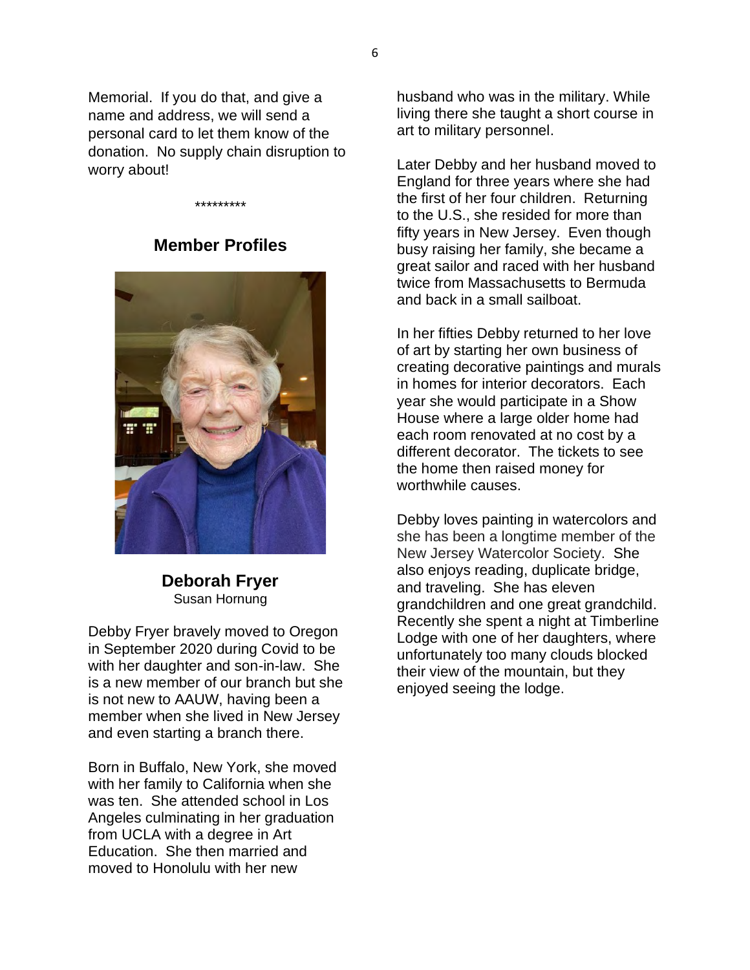Memorial. If you do that, and give a name and address, we will send a personal card to let them know of the donation. No supply chain disruption to worry about!

# **Member Profiles**

\*\*\*\*\*\*\*\*\*



**Deborah Fryer** Susan Hornung

Debby Fryer bravely moved to Oregon in September 2020 during Covid to be with her daughter and son-in-law. She is a new member of our branch but she is not new to AAUW, having been a member when she lived in New Jersey and even starting a branch there.

Born in Buffalo, New York, she moved with her family to California when she was ten. She attended school in Los Angeles culminating in her graduation from UCLA with a degree in Art Education. She then married and moved to Honolulu with her new

husband who was in the military. While living there she taught a short course in art to military personnel.

Later Debby and her husband moved to England for three years where she had the first of her four children. Returning to the U.S., she resided for more than fifty years in New Jersey. Even though busy raising her family, she became a great sailor and raced with her husband twice from Massachusetts to Bermuda and back in a small sailboat.

In her fifties Debby returned to her love of art by starting her own business of creating decorative paintings and murals in homes for interior decorators. Each year she would participate in a Show House where a large older home had each room renovated at no cost by a different decorator. The tickets to see the home then raised money for worthwhile causes.

Debby loves painting in watercolors and she has been a longtime member of the New Jersey Watercolor Society. She also enjoys reading, duplicate bridge, and traveling. She has eleven grandchildren and one great grandchild. Recently she spent a night at Timberline Lodge with one of her daughters, where unfortunately too many clouds blocked their view of the mountain, but they enjoyed seeing the lodge.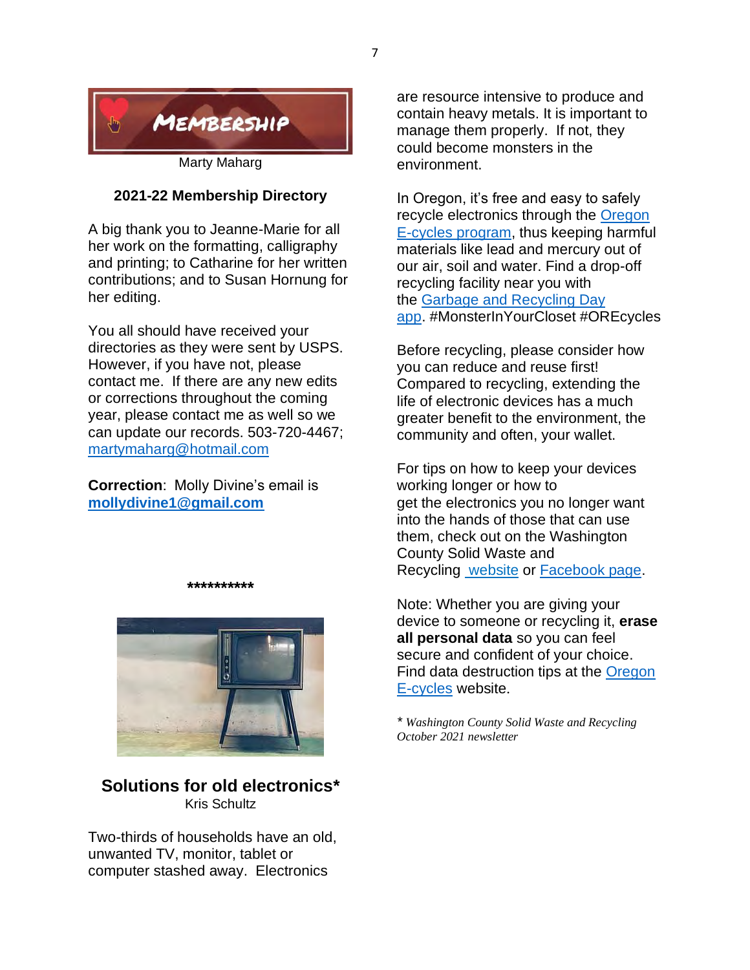

#### **2021-22 Membership Directory**

A big thank you to Jeanne-Marie for all her work on the formatting, calligraphy and printing; to Catharine for her written contributions; and to Susan Hornung for her editing.

You all should have received your directories as they were sent by USPS. However, if you have not, please contact me. If there are any new edits or corrections throughout the coming year, please contact me as well so we can update our records. 503-720-4467; martymaharg@hotmail.com

**Correction**: Molly Divine's email is **mollydivine1@gmail.com**



**\*\*\*\*\*\*\*\*\*\***

## **Solutions for old electronics\*** Kris Schultz

Two-thirds of households have an old, unwanted TV, monitor, tablet or computer stashed away. Electronics

are resource intensive to produce and contain heavy metals. It is important to manage them properly. If not, they could become monsters in the environment.

In Oregon, it's free and easy to safely recycle electronics through the Oregon E-cycles program, thus keeping harmful materials like lead and mercury out of our air, soil and water. Find a drop-off recycling facility near you with the Garbage and Recycling Day app. #MonsterInYourCloset #OREcycles

Before recycling, please consider how you can reduce and reuse first! Compared to recycling, extending the life of electronic devices has a much greater benefit to the environment, the community and often, your wallet.

For tips on how to keep your devices working longer or how to get the electronics you no longer want into the hands of those that can use them, check out on the Washington County Solid Waste and Recycling website or Facebook page.

Note: Whether you are giving your device to someone or recycling it, **erase all personal data** so you can feel secure and confident of your choice. Find data destruction tips at the Oregon E-cycles website.

*\* Washington County Solid Waste and Recycling October 2021 newsletter*

7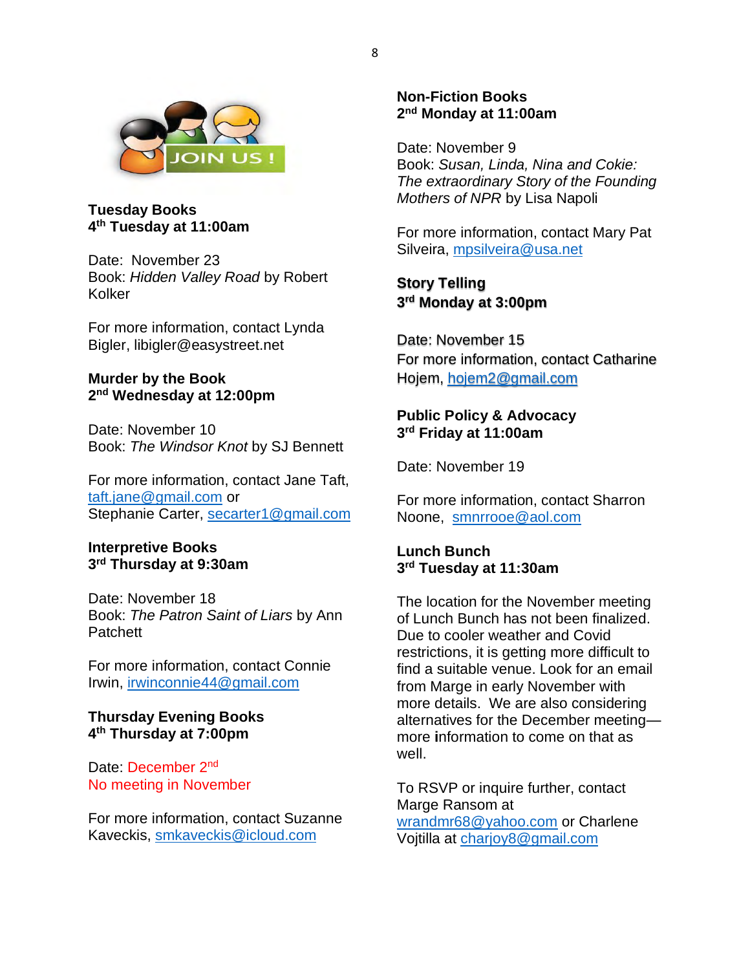

**Tuesday Books 4th Tuesday at 11:00am**

Date: November 23 Book: *Hidden Valley Road* by Robert Kolker

For more information, contact Lynda Bigler, libigler@easystreet.net

#### **Murder by the Book 2nd Wednesday at 12:00pm**

Date: November 10 Book: *The Windsor Knot* by SJ Bennett

For more information, contact Jane Taft, taft.jane@gmail.com or Stephanie Carter, secarter1@gmail.com

#### **Interpretive Books 3rd Thursday at 9:30am**

Date: November 18 Book: *The Patron Saint of Liars* by Ann **Patchett** 

For more information, contact Connie Irwin, irwinconnie44@gmail.com

#### **Thursday Evening Books 4th Thursday at 7:00pm**

Date: December 2<sup>nd</sup> No meeting in November

For more information, contact Suzanne Kaveckis, smkaveckis@icloud.com

### **Non-Fiction Books 2nd Monday at 11:00am**

Date: November 9 Book: *Susan, Linda, Nina and Cokie: The extraordinary Story of the Founding Mothers of NPR* by Lisa Napoli

For more information, contact Mary Pat Silveira, mpsilveira@usa.net

**Story Telling 3rd Monday at 3:00pm**

Date: November 15 For more information, contact Catharine Hojem, hojem2@gmail.com

#### **Public Policy & Advocacy 3rd Friday at 11:00am**

Date: November 19

For more information, contact Sharron Noone, smnrrooe@aol.com

**Lunch Bunch 3rd Tuesday at 11:30am**

The location for the November meeting of Lunch Bunch has not been finalized. Due to cooler weather and Covid restrictions, it is getting more difficult to find a suitable venue. Look for an email from Marge in early November with more details. We are also considering alternatives for the December meeting more **i**nformation to come on that as well.

To RSVP or inquire further, contact Marge Ransom at wrandmr68@yahoo.com or Charlene Vojtilla at charjoy8@gmail.com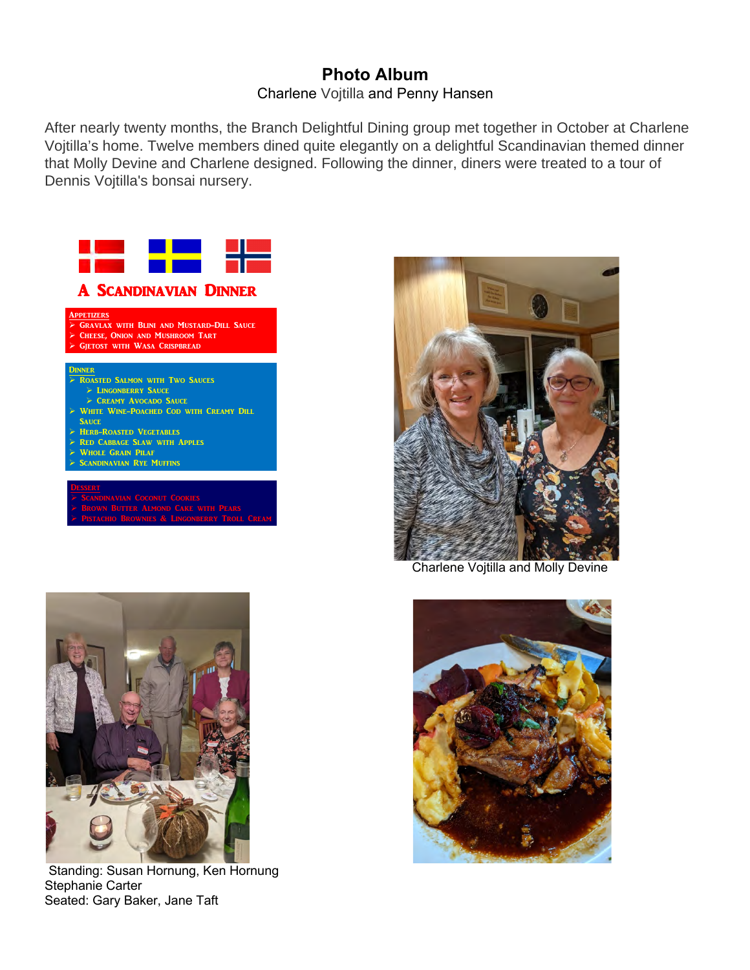# **Photo Album** Charlene Vojtilla and Penny Hansen

After nearly twenty months, the Branch Delightful Dining group met together in October at Charlene Vojtilla's home. Twelve members dined quite elegantly on a delightful Scandinavian themed dinner that Molly Devine and Charlene designed. Following the dinner, diners were treated to a tour of Dennis Vojtilla's bonsai nursery.







 Standing: Susan Hornung, Ken Hornung Stephanie Carter Seated: Gary Baker, Jane Taft



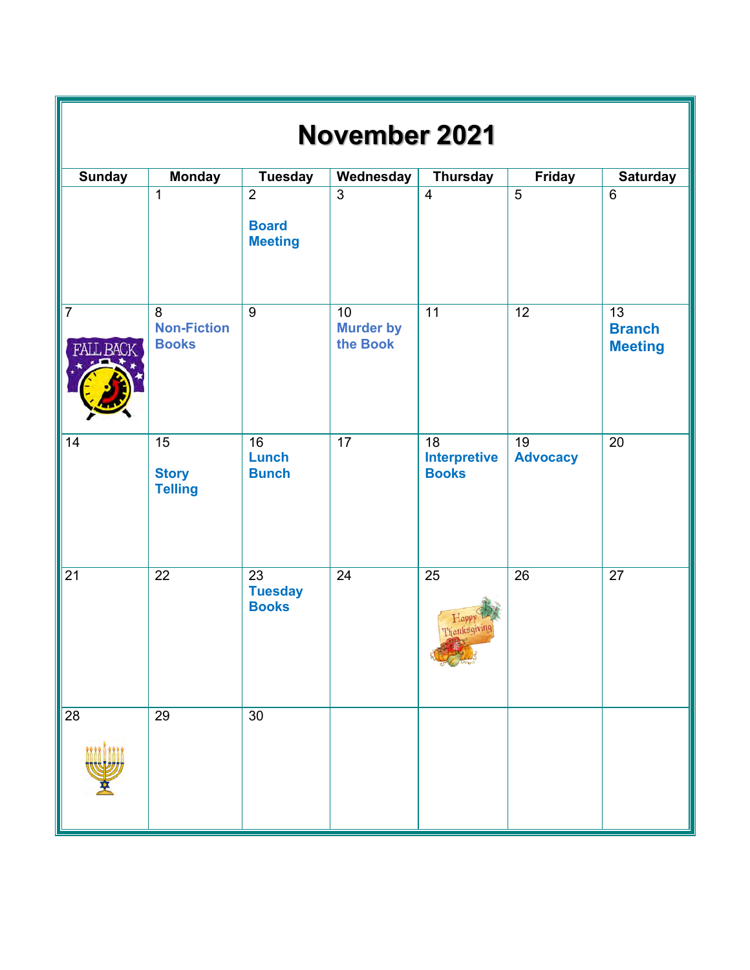| <b>November 2021</b> |                                                   |                                                  |                                    |                                                        |                                    |                                                    |  |  |  |  |
|----------------------|---------------------------------------------------|--------------------------------------------------|------------------------------------|--------------------------------------------------------|------------------------------------|----------------------------------------------------|--|--|--|--|
| <b>Sunday</b>        | <b>Monday</b>                                     | <b>Tuesday</b>                                   | Wednesday                          | <b>Thursday</b>                                        | <b>Friday</b>                      | <b>Saturday</b>                                    |  |  |  |  |
|                      | $\mathbf{1}$                                      | $\overline{2}$<br><b>Board</b><br><b>Meeting</b> | $\overline{3}$                     | $\overline{4}$                                         | $\overline{5}$                     | $6\phantom{1}6$                                    |  |  |  |  |
| $\overline{7}$       | 8<br><b>Non-Fiction</b><br><b>Books</b>           | $\overline{9}$                                   | 10<br><b>Murder by</b><br>the Book | $\overline{11}$                                        | $\overline{12}$                    | $\overline{13}$<br><b>Branch</b><br><b>Meeting</b> |  |  |  |  |
| 14                   | $\overline{15}$<br><b>Story</b><br><b>Telling</b> | $\overline{16}$<br><b>Lunch</b><br><b>Bunch</b>  | $\overline{17}$                    | $\overline{18}$<br><b>Interpretive</b><br><b>Books</b> | $\overline{19}$<br><b>Advocacy</b> | $\overline{20}$                                    |  |  |  |  |
| 21                   | 22                                                | 23<br><b>Tuesday</b><br><b>Books</b>             | 24                                 | 25<br>Hap<br>Thanksgiving                              | 26                                 | 27                                                 |  |  |  |  |
| 28                   | 29                                                | 30                                               |                                    |                                                        |                                    |                                                    |  |  |  |  |